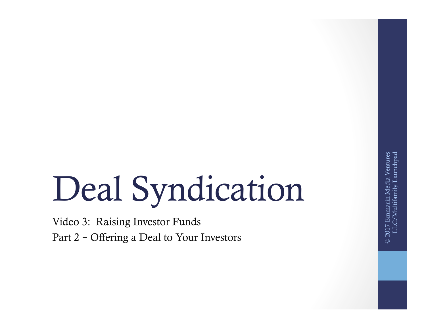# Deal Syndication

Video 3: Raising Investor Funds Part 2 – Offering a Deal to Your Investors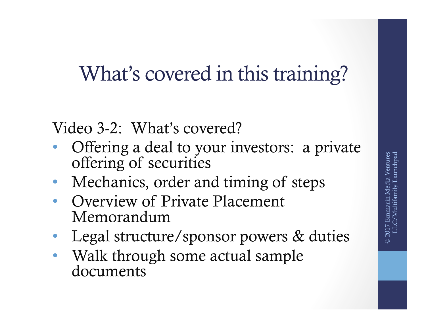## What's covered in this training?

Video 3-2: What's covered?

- Offering a deal to your investors: a private offering of securities
- Mechanics, order and timing of steps
- Overview of Private Placement Memorandum
- Legal structure/sponsor powers & duties
- Walk through some actual sample documents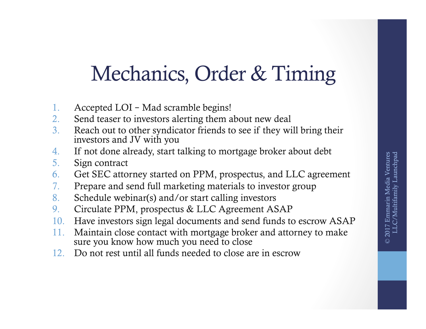## Mechanics, Order & Timing

- 1. Accepted LOI Mad scramble begins!
- 2. Send teaser to investors alerting them about new deal
- 3. Reach out to other syndicator friends to see if they will bring their investors and JV with you
- 4. If not done already, start talking to mortgage broker about debt
- 5. Sign contract
- 6. Get SEC attorney started on PPM, prospectus, and LLC agreement
- 7. Prepare and send full marketing materials to investor group
- 8. Schedule webinar(s) and/or start calling investors
- 9. Circulate PPM, prospectus & LLC Agreement ASAP
- 10. Have investors sign legal documents and send funds to escrow ASAP
- 11. Maintain close contact with mortgage broker and attorney to make sure you know how much you need to close
- 12. Do not rest until all funds needed to close are in escrow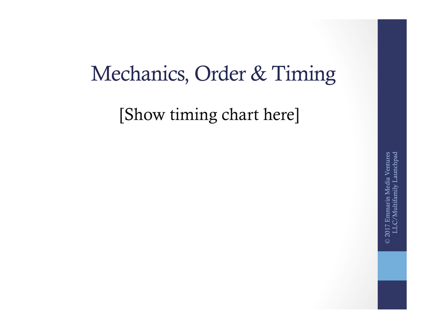#### Mechanics, Order & Timing

[Show timing chart here]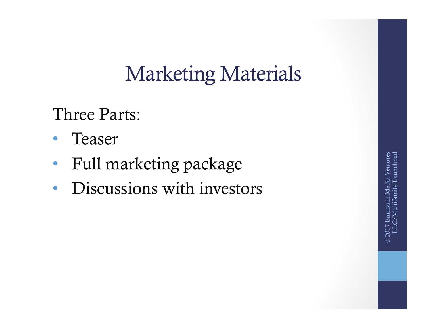Three Parts:

- Teaser
- Full marketing package
- Discussions with investors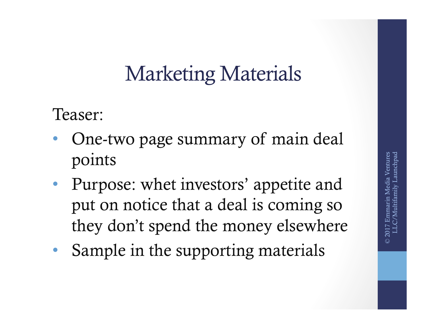Teaser:

- One-two page summary of main deal points
- Purpose: whet investors' appetite and put on notice that a deal is coming so they don't spend the money elsewhere
- Sample in the supporting materials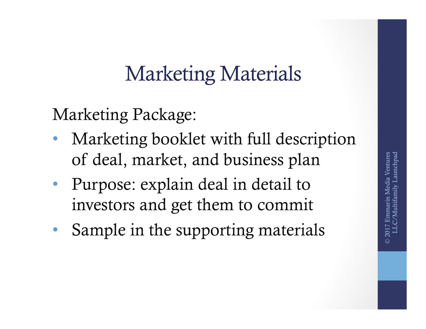Marketing Package:

- Marketing booklet with full description of deal, market, and business plan
- Purpose: explain deal in detail to investors and get them to commit
- Sample in the supporting materials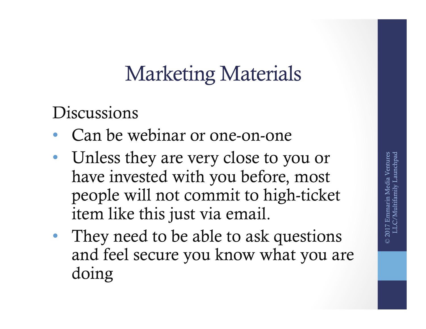**Discussions** 

- Can be webinar or one-on-one
- Unless they are very close to you or have invested with you before, most people will not commit to high-ticket item like this just via email.
- They need to be able to ask questions and feel secure you know what you are doing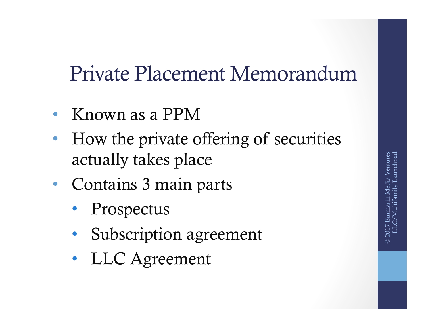#### Private Placement Memorandum

- Known as a PPM
- How the private offering of securities actually takes place
- Contains 3 main parts
	- **Prospectus**
	- Subscription agreement
	- LLC Agreement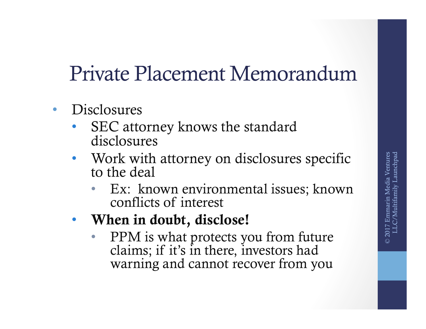## Private Placement Memorandum

- Disclosures
	- SEC attorney knows the standard disclosures
	- Work with attorney on disclosures specific to the deal
		- Ex: known environmental issues; known conflicts of interest
	- When in doubt, disclose!
		- PPM is what protects you from future claims; if it's in there, investors had warning and cannot recover from you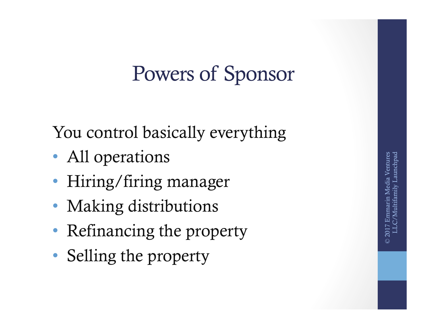### Powers of Sponsor

You control basically everything

- All operations
- Hiring/firing manager
- Making distributions
- Refinancing the property
- Selling the property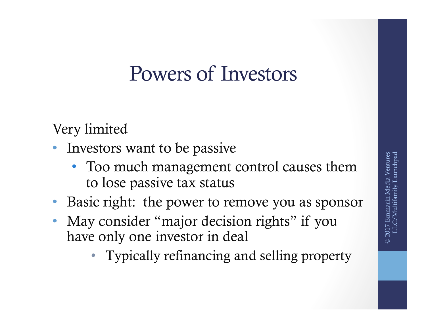#### Powers of Investors

Very limited

- Investors want to be passive
	- Too much management control causes them to lose passive tax status
- Basic right: the power to remove you as sponsor
- May consider "major decision rights" if you have only one investor in deal
	- Typically refinancing and selling property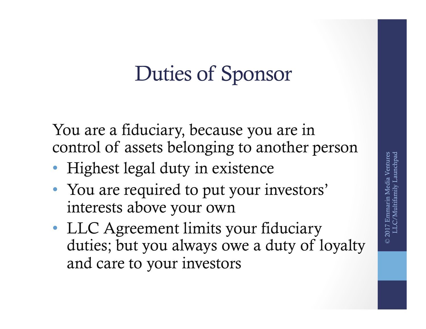## Duties of Sponsor

You are a fiduciary, because you are in control of assets belonging to another person

- Highest legal duty in existence
- You are required to put your investors' interests above your own
- LLC Agreement limits your fiduciary duties; but you always owe a duty of loyalty and care to your investors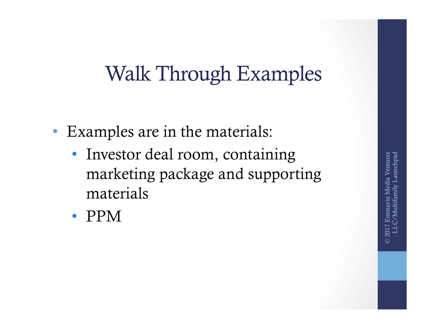## Walk Through Examples

- Examples are in the materials:
	- Investor deal room, containing marketing package and supporting materials
	- PPM